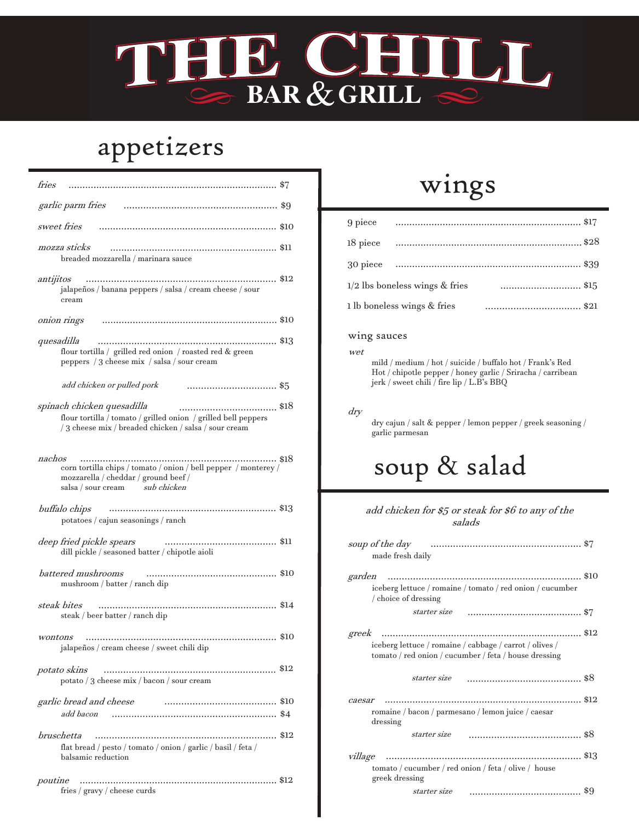### **SOULT BC** BAR & GRILL

## appetizers

| fries                                                                                                                                                         |  |
|---------------------------------------------------------------------------------------------------------------------------------------------------------------|--|
| garlic parm fries                                                                                                                                             |  |
| sweet fries                                                                                                                                                   |  |
| mozza sticks<br>breaded mozzarella / marinara sauce                                                                                                           |  |
| <br>antijitos<br>\$12<br>jalapeños / banana peppers / salsa / cream cheese / sour<br>cream                                                                    |  |
| onion rings                                                                                                                                                   |  |
| quesadilla<br>flour tortilla / grilled red onion / roasted red & green<br>peppers / 3 cheese mix / salsa / sour cream                                         |  |
| add chicken or pulled pork<br>\$5                                                                                                                             |  |
| spinach chicken quesadilla<br>flour tortilla / tomato / grilled onion / grilled bell peppers<br>/ 3 cheese mix / breaded chicken / salsa / sour cream         |  |
| nachos<br>. \$18<br>corn tortilla chips / tomato / onion / bell pepper / monterey /<br>mozzarella / cheddar / ground beef /<br>salsa / sour cream sub chicken |  |
| buffalo chips<br>potatoes / cajun seasonings / ranch                                                                                                          |  |
| deep fried pickle spears<br>dill pickle / seasoned batter / chipotle aioli                                                                                    |  |
| battered mushrooms<br>mushroom / batter / ranch dip                                                                                                           |  |
| steak bites<br>steak / beer batter / ranch dip                                                                                                                |  |
| wontons<br>jalapeños / cream cheese / sweet chili dip                                                                                                         |  |
| potato skins<br>potato / 3 cheese mix / bacon / sour cream                                                                                                    |  |
| garlic bread and cheese<br>add bacon                                                                                                                          |  |
| bruschetta<br>flat bread / pesto / tomato / onion / garlic / basil / feta /<br>balsamic reduction                                                             |  |
| poutine<br>fries / gravy / cheese curds                                                                                                                       |  |

### wings

|                                | 9 piece — ………………………………………………………… \$17 |
|--------------------------------|---------------------------------------|
|                                |                                       |
|                                |                                       |
| 1/2 lbs boneless wings & fries |                                       |
| 1 lb boneless wings & fries    | \$21                                  |

#### wing sauces

wet

mild / medium / hot / suicide / buffalo hot / Frank's Red Hot / chipotle pepper / honey garlic / Sriracha / carribean jerk / sweet chili / fire lip / L.B's BBQ

dry

dry cajun / salt & pepper / lemon pepper / greek seasoning / garlic parmesan

# soup & salad

#### add chicken for \$5 or steak for \$6 to any of the salads

| soup of the day<br>made fresh daily                                                                                       |  |
|---------------------------------------------------------------------------------------------------------------------------|--|
| garden<br>iceberg lettuce / romaine / tomato / red onion / cucumber<br>/ choice of dressing                               |  |
| starter size                                                                                                              |  |
| greek<br>iceberg lettuce / romaine / cabbage / carrot / olives /<br>tomato / red onion / cucumber / feta / house dressing |  |
|                                                                                                                           |  |
| starter size                                                                                                              |  |
| caesar<br>romaine / bacon / parmesano / lemon juice / caesar<br>dressing                                                  |  |
| starter size                                                                                                              |  |
| village<br>tomato / cucumber / red onion / feta / olive / house<br>greek dressing                                         |  |